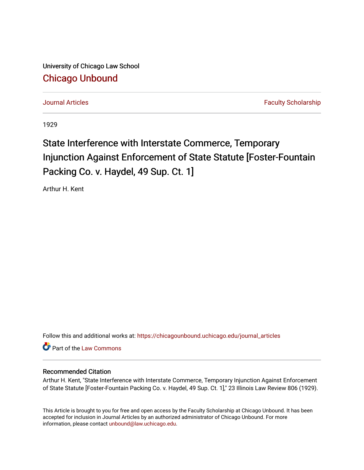University of Chicago Law School [Chicago Unbound](https://chicagounbound.uchicago.edu/)

[Journal Articles](https://chicagounbound.uchicago.edu/journal_articles) **Faculty Scholarship Journal Articles** 

1929

# State Interference with Interstate Commerce, Temporary Injunction Against Enforcement of State Statute [Foster-Fountain Packing Co. v. Haydel, 49 Sup. Ct. 1]

Arthur H. Kent

Follow this and additional works at: [https://chicagounbound.uchicago.edu/journal\\_articles](https://chicagounbound.uchicago.edu/journal_articles?utm_source=chicagounbound.uchicago.edu%2Fjournal_articles%2F9400&utm_medium=PDF&utm_campaign=PDFCoverPages) 

Part of the [Law Commons](http://network.bepress.com/hgg/discipline/578?utm_source=chicagounbound.uchicago.edu%2Fjournal_articles%2F9400&utm_medium=PDF&utm_campaign=PDFCoverPages)

# Recommended Citation

Arthur H. Kent, "State Interference with Interstate Commerce, Temporary Injunction Against Enforcement of State Statute [Foster-Fountain Packing Co. v. Haydel, 49 Sup. Ct. 1]," 23 Illinois Law Review 806 (1929).

This Article is brought to you for free and open access by the Faculty Scholarship at Chicago Unbound. It has been accepted for inclusion in Journal Articles by an authorized administrator of Chicago Unbound. For more information, please contact [unbound@law.uchicago.edu](mailto:unbound@law.uchicago.edu).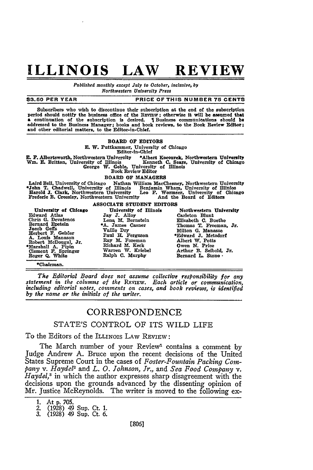# **ILLINOIS LAW REVIEW**

*Published monthly except July to October, inclusive, by Northwestern University Press*

#### **\$3.50 PER YEAR PRICE OF THIS NUMBER 75 CENTS**

Subscribers who wish to discontinue their subscription at the end of the subscription period should notify the business office of the REVIEW; otherwise it will be assumed that a continuation of the subscription is desired. I Business communications should be addressed to the Business Manager; books and book reviews, to the Book Review Editor; and other editorial matters, to the Editor-in-Chief.

#### BOARD OF EDITORS

#### **E.** W. Puttkammer, University of Chicago

#### Editor-in-Chief

E. F. Albertsworth, Northwestern University \*Albert Kocourek, Northwestern University Wm. E. Britton, University of Illinois<br>Wm. E. Britton, University of Illinois<br>George W. Goble, University of Illinois<br>Book Review Editor

### BOARD OF **MANAGERS**

Laird Bell. University of Chicago Nathan William MacChesney, Northwestern University \*John T. Chadwell, University of **Illinois** Benjamin Wham, University of Illinios Harold **J.** Clark, Northwestern University Leo F. Wormser. University of Chicago Frederic B. Crossley, Northwestern University And the Board of Editors

#### **ASSOCIATE STUDENT** EDITORS

Edward Atlas **Jay** J. Alloy Carleton Blunt Chris **G.** Devatenos Lena M. Bernstein Elizabeth **C.** Buethe Jacob Geffs (F. Geisler Vaille Dry Milton G. Manasse Herbert F. Geisler Paul H. Ferguson \*Edward J. Metzdorf Robert McDougal, Jr. Ray M. Foremann A. Price (Marshall A. Pipin Richard M. Keck Owen N. Price General F. Springe

University of Chicago University of Illinois Northwestern University Edward Atlas<br>
Carleton Blunt<br>
Chris G. Devatenos<br>
Lena M. Bernstein Filizabeth C. Buethe<br>
Bernard Epstein +A. James Casner Thomas T. Freeman, Jr.<br>
Jacob Geffs Veille Dr. Clement **F.** Springer Warren W. Kriebel Arthur B. Seibold, Jr. Roger **Q.** White Ralph **C.** Murphy Bernard **L.** Stone,

\*Chairman.

*The Editorial Board does not assume collective responsibility for any statement in the columns of the REVIEW. Each article or communication, including editorial notes, comments on cases, and book reviews, is identified by the name or the initials of the writer.*

## **CORRESPONDENCE**

### STATE'S CONTROL OF ITS WILD LIFE

To the Editors of the ILLINOIS LAW REVIEW:

The March number of your Review<sup>1</sup> contains a comment by Judge Andrew A. Bruce upon the recent decisions of the United States Supreme Court in the cases of *Foster-Fountain Packing* Com*pany v. Hayde2* and *L. 0. Johnson, Jr., and Sea Food Company v. Haydel5* in which the author expresses sharp disagreement with the decisions upon the grounds advanced by the dissenting opinion of Mr. Justice McReynolds. The writer is moved to the following ex-

**<sup>1.</sup>** At **p. 705.** *2.* **(1928)** *49* Sup. Ct. **1. 3. (1928)** 49 Sup. Ct. **6.**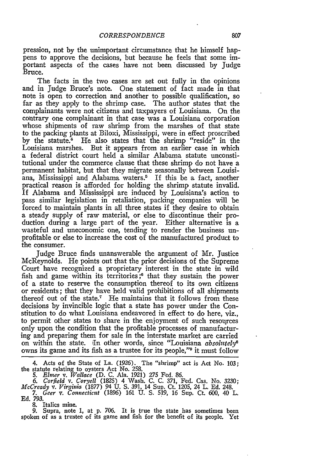pression, not by the unimportant circumstance that he himself happens to approve the decisions, but because he feels that some important aspects of the cases have not been discussed by Judge Bruce.

The facts in the two cases are set out fully in the opinions and in Judge Bruce's note. One statement of fact made in that note is open to correction and another to possible qualification, so far as they apply to the shrimp case. The author states that the complainants were not citizens and taxpayers of Louisiana. On the contrary one complainant in that case was a Louisiana corporation whose shipments of raw shrimp from the marshes of that state to the packing plants at Biloxi, Mississippi, were in effect proscribed by the statute.<sup>4</sup> He also states that the shrimp "reside" in the Louisiana marshes. But it appears from an earlier case in which a federal district court held a similar Alabama statute unconstitutional under the commerce clause that these shrimp do not have a permanent habitat, but that they migrate seasonally between Louisiana, Mississippi and Alabama waters.<sup>5</sup> If this be a fact, another practical reason is afforded for holding the shrimp statute invalid. If Alabama and Mississippi are induced by Louisiana's action to pass similar legislation in retaliation, packing companies will be forced to maintain plants in all three states if they desire to obtain a steady supply of raw material, or else to discontinue their production during a large part of the year. Either alternative is a wasteful and uneconomic one, tending to render the business unprofitable or else to increase the cost of the manufactured product to the consumer.

Judge Bruce finds unanswerable the argument of Mr. justice McReynolds. He points out that the prior decisions of the Supreme Court have recognized a proprietary interest in the state in wild fish and game within its territories **;6** that they sustain the power of a state to reserve the consumption thereof to its own citizens or residents; that they have held valid prohibitions of all shipments thereof out of the state.7 He maintains that it follows from these decisions by invincible logic that a state has power under the Constitution to do what Louisiana endeavored in effect to do here, viz., to permit other states to share in the enjoyment of such resources only upon the condition that the profitable processes of manufacturing and preparing them for sale in the interstate market are carried on within the state. In other words, since "Louisiana *absolutely*<sup>8</sup> owns its game and its fish as a trustee for its people,"9 it must follow

4. Acts of the State of La. (1926). The "shrimp" act is Act No. 103; the statute relating to oysters Act No. 258. *5. Elnwr v. Wallace* (D. C. Ala. 1921) 275 Fed. 86.

*6. Corfield v. Coryell* (1825) 4 Wash. C. C. 371, Fed. Cas. No. **3230;** *McCready v. Virginia* (1877) 94 U. **S.** 391, 14 Sup. Ct. 1205, 24 L. Ed. 248. *7. Geer v. Connecticut* (1896) 161 **U. S. 519,** 16 Sup. Ct. **600,** 40 L.

**Ed.** *793.*

**8.** Italics mine.

**9.** Supra, note **1,** at **p. 706.** It is true the state has sometimes been spoken of as a trustee of its game and fish for the benefit of its people. Yet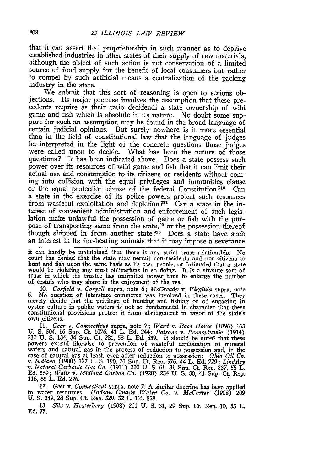that it can assert that proprietorship in such manner as to deprive established industries in other states of their supply of raw materials, although the object of such action is not conservation of a limited source of food supply for the benefit of local consumers but rather to compel by such artificial means a centralization of the packing industry in the state.

We submit that this sort of reasoning is open to serious objections. Its major premise involves the assumption that these precedents require as their ratio decidendi a state ownership of wild game and fish which is absolute in its nature. No doubt some support for such an assumption may be found in the broad language of certain judicial opinions. But surely nowhere is it more essential than in the field of constitutional law that the language of judges be interpreted in the light of the concrete questions those judges were called upon to decide. What has been the nature of those questions? It has been indicated above. Does a state possess such power over its resources of wild game and fish that it can limit their actual use and consumption to its citizens or residents without coming into collision with the equal privileges and immunities clause or the equal protection clause of the federal Constitution?1o Can a state in the exercise of its police powers protect such resources from wasteful exploitation and depletion?<sup>11</sup> Can a state in the interest of convenient administration and enforcement of such legis- lation make unlawful the possession of game or fish with the purpose of transporting same from the state,<sup>12</sup> or the possession thereof though shipped in from another state?<sup>18</sup> Does a state have such an interest in its fur-bearing animals that it may impose a severance

it can hardly be maintained that there is any strict trust relationsbih. No court has denied that the state may permit non-residents and non-citizens to hunt and fish upon the same basis as its own people, or intimated that a state would be violating any trust obligations in so doing. It is a strange sort of trust in which the trustee has unlimited power thus to enlarge the number of cestuis who may share in the enjoyment of the res.

10. *Corfield v. Coryell* supra, note 6; *McCready v. Virginia* supra, note *6.* No question of interstate commerce was involved in these cases. They merely decide that the privilege of hunting and fishing or of engazing in oyster culture in public waters is not so fundamental in character that these constitutional provisions protect it from abridgement in favor of the state's own citizens.

*11. Geer v. Connectcut* supra, note 7; *Ward v. Race Horse* (1896) 163 **U. S.** 504, *16* Sup. Ct. 1076. 41 L. **Ed.** 244: *Patsone v. Penns.lvania* (1914) **<sup>232</sup>**U. **S,** 134, 34 Sup. Ct. 281, **58** L. Ed. 539. It should be noted that these powers extend likewise to prevention of wasteful exploitation of mineral waters and natural gas in the process of reduction to possession and, in the case of natural gas at least, even after reduction to possession: *Ohio Oil Co.*<br>v. *Indiana* (1900) 177 U. S. 190, 20 Sup. Ct. Rep. 576, 44 L. E

*12. Geer v. Connecticut* supra, note 7. **A** similar doctrine has been applied to water resources. *Hudson County Water Co. v. McCarter* (1908) 20O U. **S.** 349, 28 Sup. Ct. Rep. 529, **52** L. Ed. 828.

**13.** *Silz v. Hesterberg* (1908) 211 U. S. 31, 29 Sup. Ct. Rep. 10. **53** L. **Ed. 75.**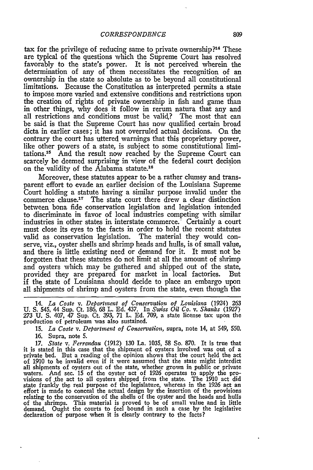tax for the privilege of reducing same to private ownership?<sup>14</sup> These are typical of the questions which the Supreme Court has resolved favorably to the state's power. It is not perceived wherein the determination of any of them necessitates the recognition of an ownership in the state so absolute as to be beyond all constitutional limitations. Because the Constitution as interpreted permits a state to impose more varied and extensive conditions and restrictions upon the creation of rights of private ownership in fish and game than in other things, why does it follow in rerum natura that any and all restrictions and conditions must be valid? The most that can be said is that the Supreme Court has now qualified certain broad dicta in earlier cases; it has not overruled actual decisions. On the contrary the court has uttered warnings that this proprietary power, like other powers of a state, is subject to some constitutional limitations.15 And the result now reached by the Supreme Court can scarcely be deemed surprising in view of the federal court decision on the validity of the Alabama statute.<sup>16</sup>

Moreover, these statutes appear to be a rather clumsy and transparent effort to evade an earlier decision of the Louisiana Supreme Court holding a statute having a similar purpose invalid under the commerce clause.<sup>17</sup> The state court there drew a clear distinction between bona fide conservation legislation and legislation intended to discriminate in favor of local industries competing with similar industries in other states in interstate commerce. Certainly a court must close its eyes to the facts in order to hold the recent statutes valid as conservation legislation. The material they would conserve, viz., oyster shells and shrimp heads and hulls, is of small value, and there is little existing need or demand for it. It must not be forgotten that these statutes do not limit at all the amount of shrimp and oysters which may be gathered and shipped out of the state, provided they are prepared for market in local factories. But if the state of Louisiana should decide to place an embargo upon all shipments of shrimp and oysters from the state, even though the

14. *La Coste v. Department of Conservation of Louisiana* (1924) 263 U. S. 545, 44 Sup. Ct. 186, 68 L. Ed. 437. In *Swiss Oil Co. v. Shanks* (1927) *<sup>273</sup>*U. S. 407, 47 Sup. Ct. 393, 71 L. Ed. 709, a state license tax upon the production of petroleum was also sustained.

15. *La Coste v. Department of Conservation,* supra, note 14, at 549, 550.

16. Supra, note **5.**

*17. State v. Ferrandau* (1912) 130 La. 1035, 58 So. 870. It is true that it is stated in this case that the shipment of oysters involved was out of a private bed. But a reading of the opinion shows that the court held the act of 1910 to **be** invalid even if it were assumed that the state might interdict all shipments of oysters out of the state, whether grown in public or private waters. And sec. **15** of the oyster act of 1926 operates to apply the provisions of the act to all oysters shipped from the state. The 1910 act did state frankly the real purpose of the legislature, whereas in the 1926 act an effort is made to conceal the actual design by the insertion of the provisions relating to the conservation of the shells of the oyster and the heads and hulls of the shrimps. This material is proved to be of small value and in little demand. Ought the courts to feel bound in such a case by the legislative declaration of purpose when it is clearly contrary to the facts?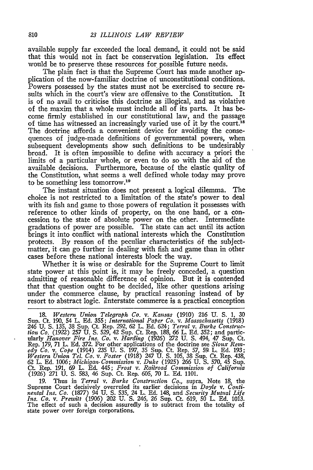available supply far exceeded the local demand, it could not be said that this would not in fact be conservation legislation. Its effect would be to preserve these resources for possible future needs.

The plain fact is that the Supreme Court has made another application of the now-familiar doctrine of unconstitutional conditions. Powers possessed by the states must not be exercised to secure results which in the court's view are offensive to the Constitution. It is of no avail to criticise this doctrine as illogical, and as violative of the maxim that a whole must include all of its parts. It has become firmly established in our constitutional law, and the passage of time has witnessed an increasingly varied use of it by the court.<sup>18</sup> The doctrine affords a convenient device for avoiding the consequences of judge-made definitions of governmental powers, when subsequent developments show such definitions to be undesirably broad. It is often impossible to define with accuracy a priori the limits of a particular whole, or even to do so with the aid of the available decisions. Furthermore, because of the elastic quality of the Constitution, what seems a well defined whole today may prove to be something less tomorrow. <sup>19</sup>

The instant situation does not present a logical dilemma. The choice is not restricted to a limitation of the state's power to deal with its fish and game to those powers of regulation it possesses with reference to other kinds of property, on the one hand, or a concession to the state of absolute power on the other. Intermediate gradations of power are possible. The state can act until its action brings it into conflict with national interests which the Constitution protects. By reason of the peculiar characteristics 6f the subjectmatter, it can go further in dealing with fish and game than in other cases before these national interests block the way.

Whether it is wise or desirable for the Supreme Court to limit state power at this point is, it may be freely conceded, a question admitting of reasonable difference of opinion. But it is contended that that question ought to be decided, like other questions arising under the commerce clause, by practical reasoning instead of by resort to abstract logic. Interstate commerce is a practical conception

18. *Western Union Telegraph Co. v. Kansas* (1910) 216 U. S. **1,** 30 Sup. Ct. 190, 54 L. Ed. 355; International Paper Co. v. Massachusetts (1918)<br>246 U. S. 135, 38 Sup. Ct. Rep. 292, 62 L. Ed. 624; Terral v. Burke Construc-<br>tion Co. (1922) 257 U. S. 529, 42 Sup. Ct. Rep. 188, 66 L. Ed. 352; Rep. 179, 71 L. Ed. 372. For other applications of the doctrine see *Sioux Rem*edy Co. v. Cope (1914) 235 U. S. 197, 35 Sup. Ct. Rep. 57, 59 L. Ed. 193; Western Union Tel. Co. v. Foster (1918) 247 U. S. 105, 38 Sup. Ct. Rep. 438, 62 L. Ed. 1906; Michigan Commission v. Duke (1925) 266 U. S. 570, 45 Su

19. Thus in *Terral v. Burke Construction Co.,* supra, Note 18, the Supreme Court decisively overruled its earlier decisions in *Doyle v. Conti-nental Ins. Co.* (1877) 94 U. **S.** 535, 24 L. **Ed.** 148, and *Security Mutual Life Ins. Co.* v. *Prewitt* (1906) 202 U. **S.** 246, 26 Sup. Ct. 619, *50* L. Ed. 1013. The effect of such a decision assuredly is to subtract from the totality of state power over foreign corporations.